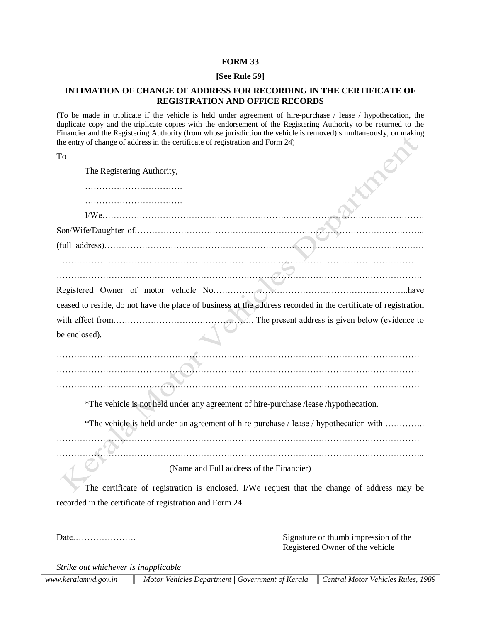#### **FORM 33**

### **[See Rule 59]**

# **INTIMATION OF CHANGE OF ADDRESS FOR RECORDING IN THE CERTIFICATE OF REGISTRATION AND OFFICE RECORDS**

(To be made in triplicate if the vehicle is held under agreement of hire-purchase / lease / hypothecation, the duplicate copy and the triplicate copies with the endorsement of the Registering Authority to be returned to the Financier and the Registering Authority (from whose jurisdiction the vehicle is removed) simultaneously, on making the entry of change of address in the certificate of registration and Form 24)

| 전 사<br>×<br>I<br>$\sim$ |
|-------------------------|
|                         |

| The Registering Authority,                                                           |                                                                                                                |
|--------------------------------------------------------------------------------------|----------------------------------------------------------------------------------------------------------------|
|                                                                                      |                                                                                                                |
|                                                                                      |                                                                                                                |
|                                                                                      |                                                                                                                |
|                                                                                      |                                                                                                                |
|                                                                                      |                                                                                                                |
|                                                                                      |                                                                                                                |
|                                                                                      |                                                                                                                |
|                                                                                      | ceased to reside, do not have the place of business at the address recorded in the certificate of registration |
|                                                                                      |                                                                                                                |
| be enclosed).                                                                        |                                                                                                                |
|                                                                                      |                                                                                                                |
|                                                                                      |                                                                                                                |
|                                                                                      |                                                                                                                |
| *The vehicle is not held under any agreement of hire-purchase /lease /hypothecation. |                                                                                                                |
|                                                                                      | *The vehicle is held under an agreement of hire-purchase / lease / hypothecation with                          |
|                                                                                      |                                                                                                                |
|                                                                                      | (Name and Full address of the Financier)                                                                       |
|                                                                                      | The certificate of registration is enclosed. I/We request that the change of address may be                    |
| recorded in the certificate of registration and Form 24.                             |                                                                                                                |
|                                                                                      |                                                                                                                |

Date…………………. Signature or thumb impression of the Registered Owner of the vehicle

*Strike out whichever is inapplicable*